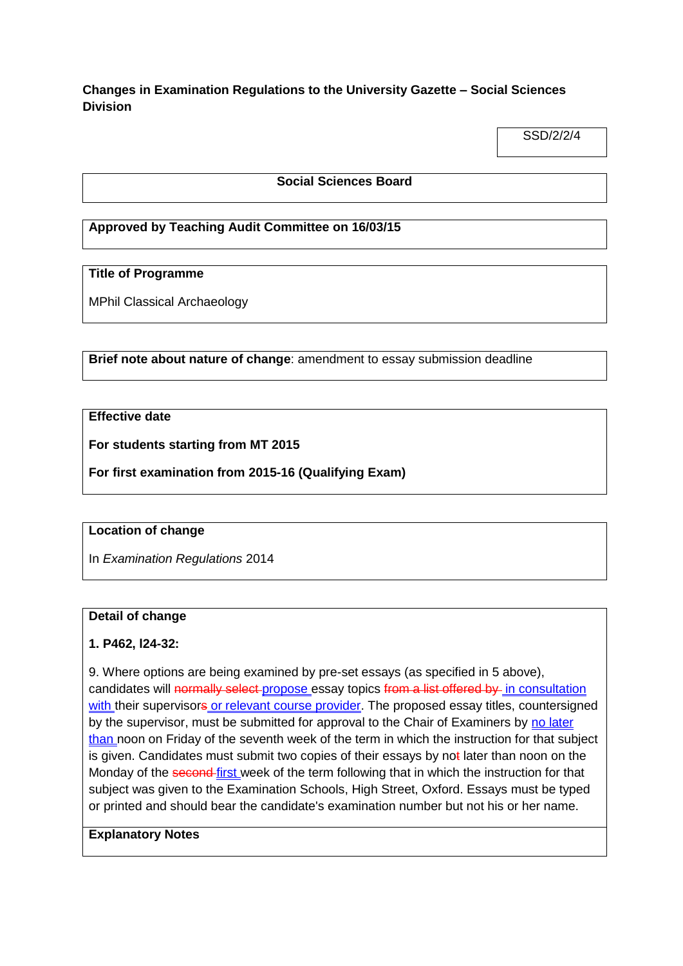# **Changes in Examination Regulations to the University Gazette – Social Sciences Division**

SSD/2/2/4

#### **Social Sciences Board**

## **Approved by Teaching Audit Committee on 16/03/15**

## **Title of Programme**

MPhil Classical Archaeology

**Brief note about nature of change**: amendment to essay submission deadline

## **Effective date**

**For students starting from MT 2015**

**For first examination from 2015-16 (Qualifying Exam)**

#### **Location of change**

In *Examination Regulations* 2014

#### **Detail of change**

#### **1. P462, l24-32:**

9. Where options are being examined by pre-set essays (as specified in 5 above), candidates will normally select propose essay topics from a list offered by in consultation with their supervisors or relevant course provider. The proposed essay titles, countersigned by the supervisor, must be submitted for approval to the Chair of Examiners by no later than noon on Friday of the seventh week of the term in which the instruction for that subject is given. Candidates must submit two copies of their essays by not later than noon on the Monday of the second-first week of the term following that in which the instruction for that subject was given to the Examination Schools, High Street, Oxford. Essays must be typed or printed and should bear the candidate's examination number but not his or her name.

## **Explanatory Notes**